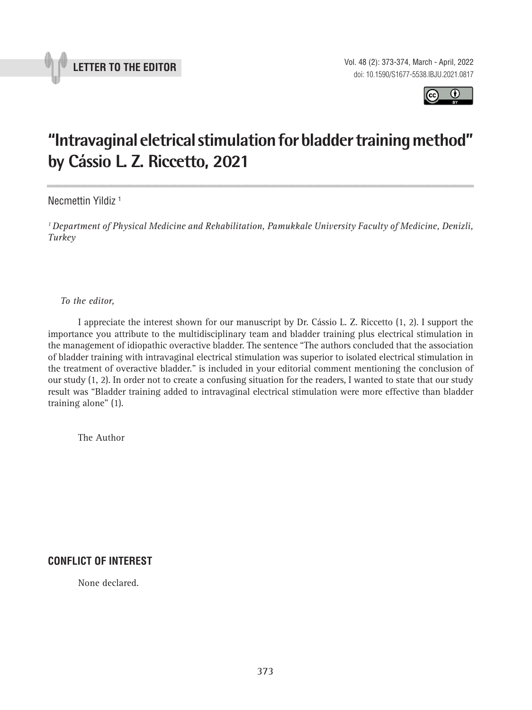



## **"Intravaginal eletrical stimulation for bladder training method" by Cássio L. Z. Riccetto, 2021 \_\_\_\_\_\_\_\_\_\_\_\_\_\_\_\_\_\_\_\_\_\_\_\_\_\_\_\_\_\_\_\_\_\_\_\_\_\_\_\_\_\_\_\_\_\_\_**

Necmettin Yildiz 1

*1 Department of Physical Medicine and Rehabilitation, Pamukkale University Faculty of Medicine, Denizli, Turkey*

*To the editor,*

I appreciate the interest shown for our manuscript by Dr. Cássio L. Z. Riccetto (1, 2). I support the importance you attribute to the multidisciplinary team and bladder training plus electrical stimulation in the management of idiopathic overactive bladder. The sentence "The authors concluded that the association of bladder training with intravaginal electrical stimulation was superior to isolated electrical stimulation in the treatment of overactive bladder." is included in your editorial comment mentioning the conclusion of our study (1, 2). In order not to create a confusing situation for the readers, I wanted to state that our study result was "Bladder training added to intravaginal electrical stimulation were more effective than bladder training alone" (1).

The Author

## **CONFLICT OF INTEREST**

None declared.